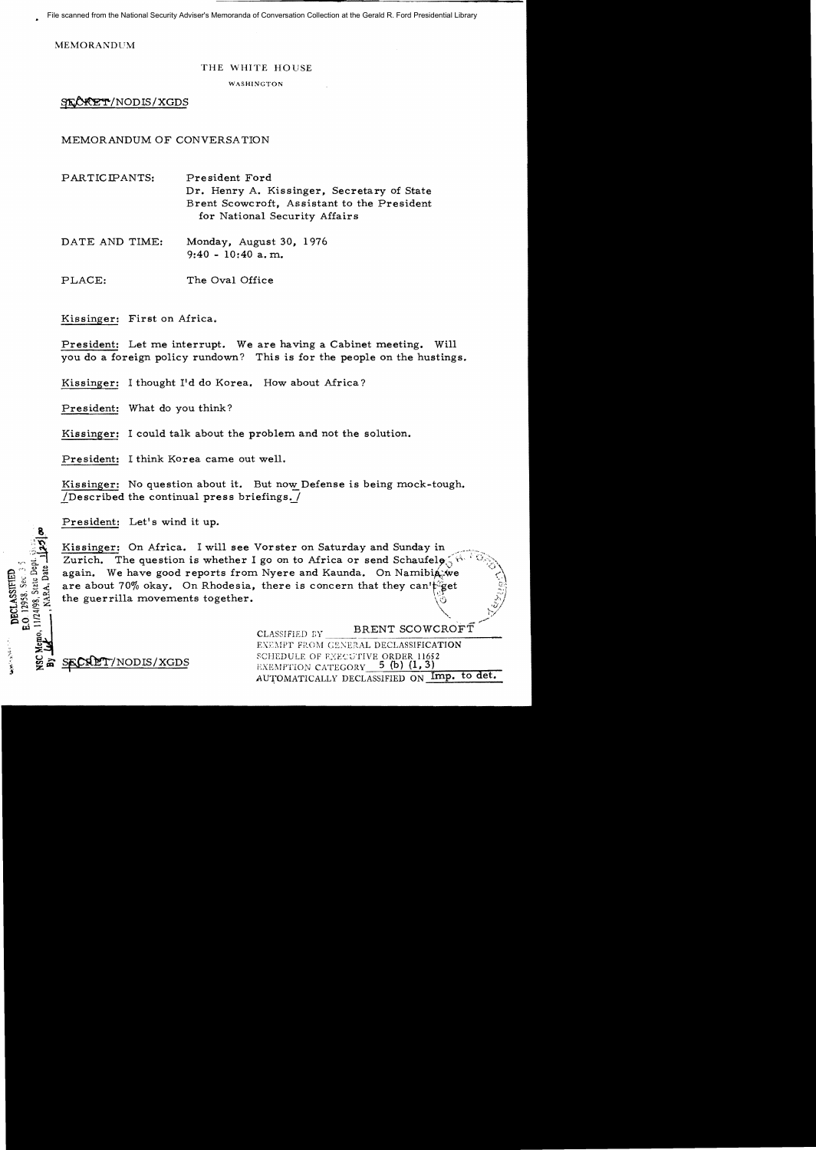File scanned from the National Security Adviser's Memoranda of Conversation Collection at the Gerald R. Ford Presidential Library

MEMORANDUM

## THE WHITE HOUSE

WASHINGTON

SECRET/NODIS/XGDS

MEMORANDUM OF CONVERSATION

PARTICIFANTS: President Ford Dr. Henry A. Kissinger, Secretary of State Brent Scowcroft, Assistant to the President for National Security Affairs

DATE AND TIME: Monday, August 30, 1976 9:40 - 10:40 a. m.

PLACE: The Oval Office

Kissinger: First on Mrica.

President: Let me interrupt. We are having a Cabinet meeting. Will you do a foreign policy rundown? This is for the people on the hustings.

Kissinger: I thought I'd do Korea. How about Africa?

President: What do you think?

Kissinger: I could talk about the problem and not the solution.

President: I think Korea came out well.

Kissinger: No question about it. But now Defense is being mock-tough. /Described the continual press briefings.  $/$ 

President: Let's wind it up.

Kissinger: On Africa. I will see Vorster on Saturday and Sunday in Zurich. The question is whether I go on to Africa or send Schaufelo,  $\sqrt{q}$ again. We have good reports from Nyere and Kaunda. On Namibia we are about 70% okay. On Rhodesia, there is concern that they can't get the guerrilla movements together.

CLASSIFIED BY BRENT SCOWCROFT EXEMPT FROM GENERAL DECLASSIFICATION SECRET/NODIS/XGDS SCHEDULE OF EXECUTIVE ORDER 11652 AUTOMATICALLY DECLASSIFIED ON Imp. to det.

 $\Delta'$ 

**DECLASSIFIEI** 0.12958. Sec.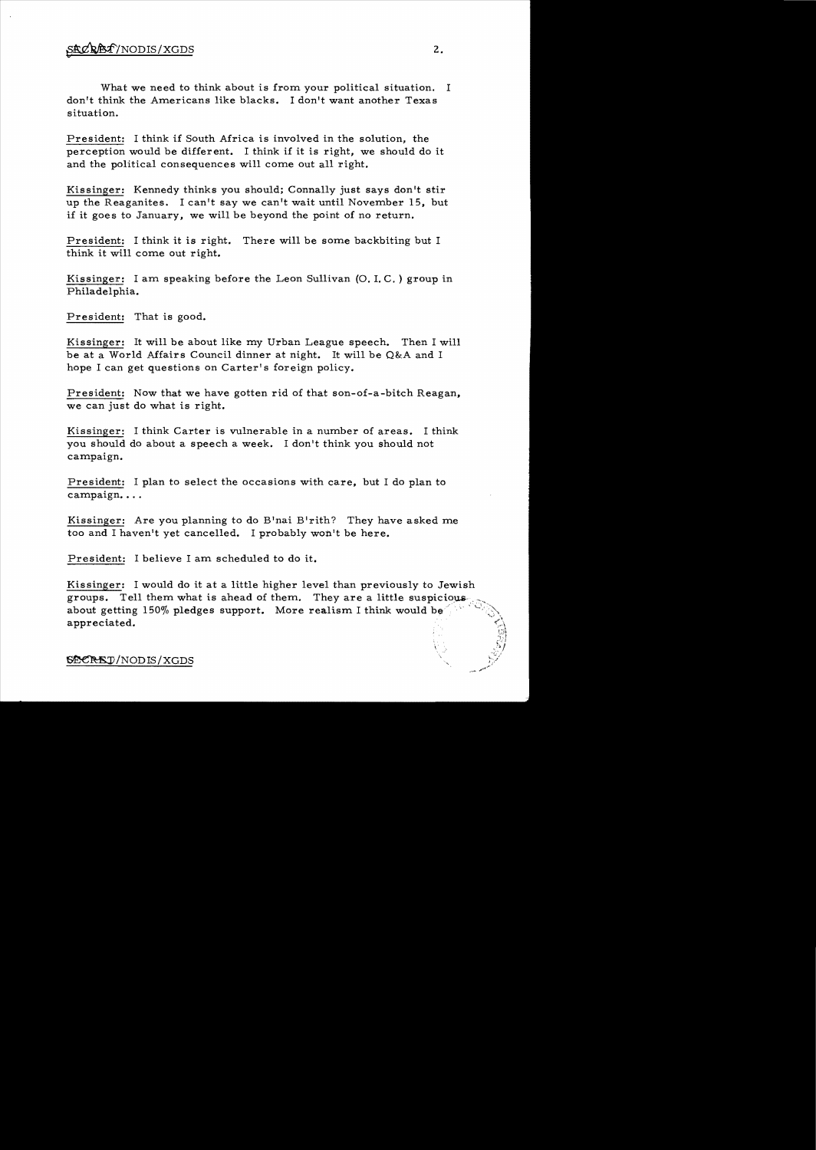What we need to think about is from your political situation. I don't think the Americans like blacks. I don't want another Texas situation.

President: I think if South Africa is involved in the solution, the perception would be different. I think if it is right, we should do it and the political consequences will come out all right.

Kissinger: Kennedy thinks you should; Connally just says don't stir up the Reaganites. I can't say we can't wait until November 15, but if it goes to January, we will be beyond the point of no return.

President: I think it is right. There will be some backbiting but I think it will come out right.

Kissinger: I am speaking before the Leon Sullivan (0. 1. C. ) group in Philadelphia.

President: That is good.

Kissinger: It will be about like my Urban League speech. Then I will be at a World Affairs Council dinner at night. It will be Q&A and I hope I can get questions on Carter's foreign policy.

President: Now that we have gotten rid of that son-of-a-bitch Reagan, we can just do what is right.

Kissinger: I think Carter is vulnerable in a number of areas. I think you should do about a speech a week. I don't think you should not campaign.

President: I plan to select the occasions with care, but I do plan to campaign...

Kissinger: Are you planning to do B'nai B'rith? They have asked me too and I haven't yet cancelled. I probably won't be here.

President: I believe I am scheduled to do it.

Kissinger: I would do it at a little higher level than previously to Jewish groups. Tell them what is ahead of them. They are a little suspicious about getting  $150\%$  pledges support. More realism I think would be appreciated.

~/NODIS/XGDS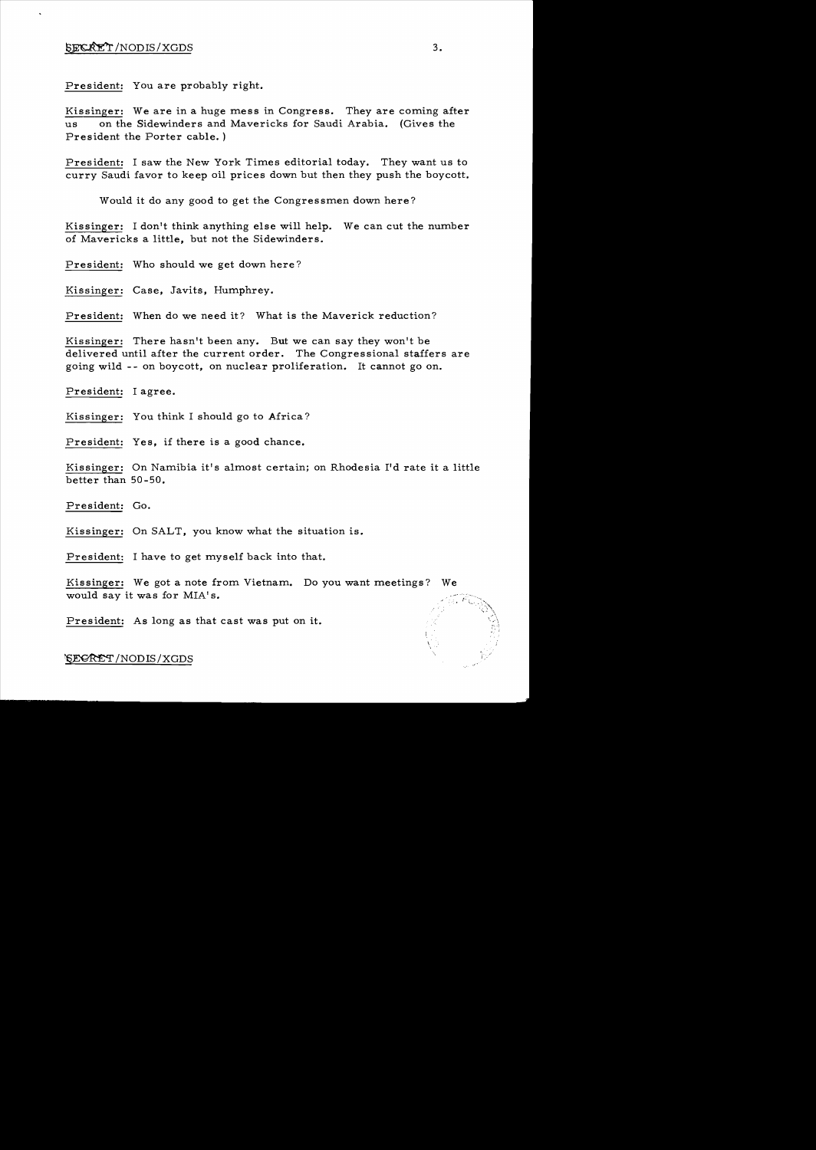President: You are probably right.

Kissinger: We are in a huge mess in Congress. They are coming after us on the Sidewinders and Mavericks for Saudi Arabia. (Gives the President the Porter cable. )

President: I saw the New York Times editorial today. They want us to curry Saudi favor to keep oil prices down but then they push the boycott.

Would it do any good to get the Congressmen down here?

Kissinger: I don't think anything else will help. We can cut the number of Mavericks a little, but not the Sidewinders.

President: Who should we get down here?

Kissinger: Case, Javits, Humphrey.

President: When do we need it? What is the Maverick reduction?

Kissinger: There hasn't been any. But we can say they won't be delivered until after the current order. The Congressional staffers are going wild - - on boycott, on nuclear proliferation. It cannot go on.

President: I agree.

Kissinger: You think I should go to Africa?

President: Yes, if there is a good chance.

Kissinger: On Namibia it's almost certain; on Rhodesia I'd rate it a little better than 50-50.

President: Go.

Kissinger: On SALT, you know what the situation is.

President: I have to get myself back into that.

Kissinger: We got a note from Vietnam. Do you want meetings? would say it was for MIA's.

President: As long as that cast was put on it.

~/NODIS/XGDS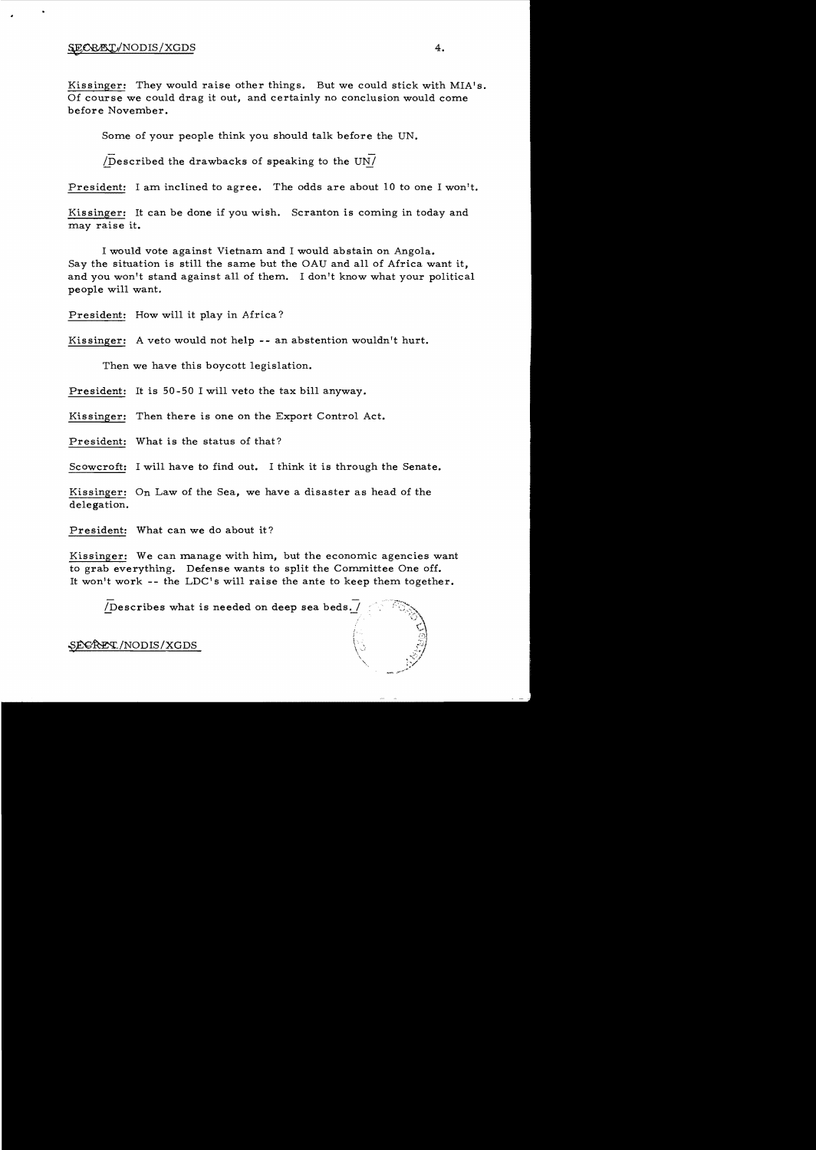Kissinger: They would raise other things. But we could stick with MIA's. Of course we could drag it out, and certainly no conclusion would come before November.

Some of your people think you should talk before the UN.

*(Described the drawbacks of speaking to the UN* $\prime$ 

President: I am inclined to agree. The odds are about 10 to one I won't.

Kissinger: It can be done if you wish. Scranton is coming in today and may raise it.

I would vote against Vietnam and I would abstain on Angola. Say the situation is still the same but the OAU and all of Africa want it, and you won't stand against all of them. I don't know what your political people will want.

President: How will it play in Africa?

Kissinger: A veto would not help -- an abstention wouldn't hurt.

Then we have this boycott legislation.

President: It is 50-50 I will veto the tax bill anyway.

Kissinger: Then there is one on the Export Control Act.

President: What is the status of that?

Scowcroft: I will have to find out. I think it is through the Senate.

Kissinger: On Law of the Sea, we have a disaster as head of the delegation.

President: What can we do about it?

Kissinger: We can manage with him, but the economic agencies want to grab everything. Defense wants to split the Committee One off. It won't work  $-$ - the LDC's will raise the ante to keep them together.

/Describes what is needed on deep sea beds./

SEGRET/NODIS/XGDS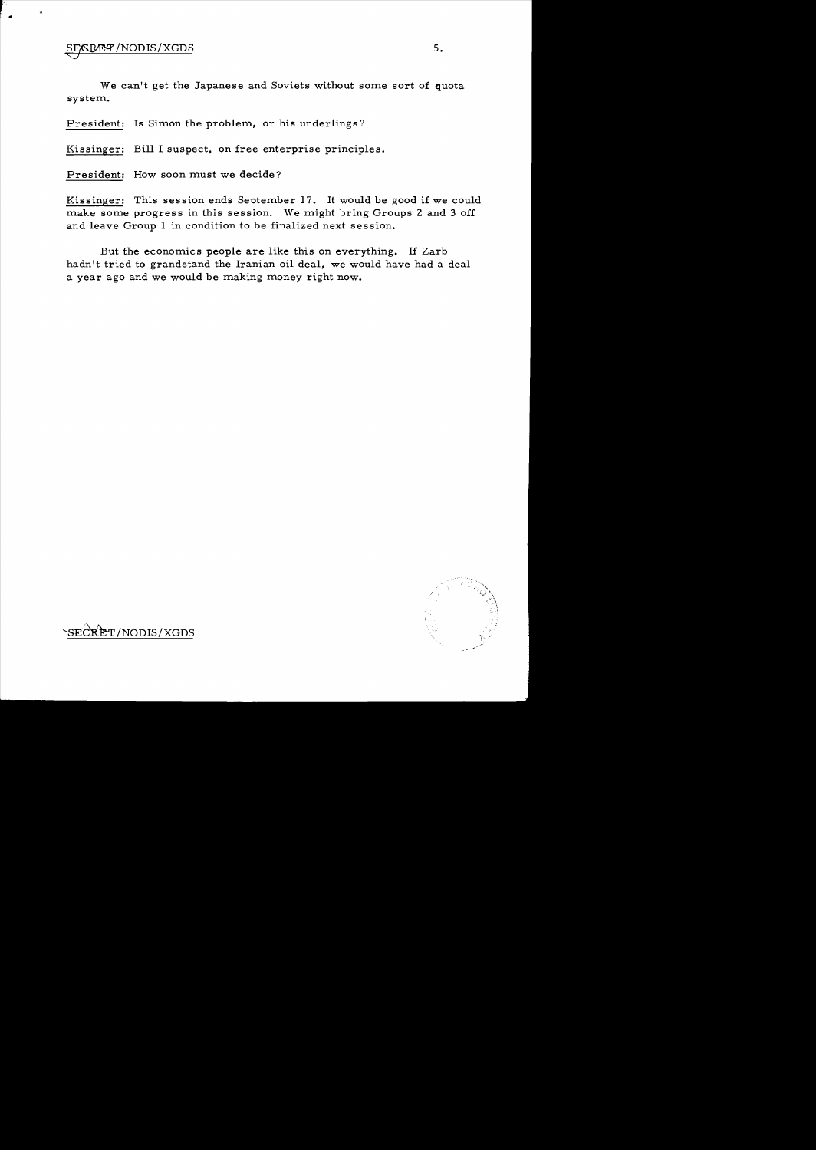$\frac{1}{\sqrt{2}}$ 

 $\blacksquare$ 

We can't get the Japanese and Soviets without some sort of quota system..

President: Is Simon the problem, or his underlings?

Kissinger: Bill I suspect. on free enterprise principles.

President: How soon must we decide?

Kissinger: This session ends September 17. It would be good if we could make some progress in this session. We might bring Groups 2 and 3 off and leave Group 1 in condition to be finalized next session.

But the economics people are like this on everything. If Zarb hadn't tried to grandstand the Iranian oil deal, we would have had a deal a year ago and we would be making money right now.

/

'SECRET/NODIS/XGDS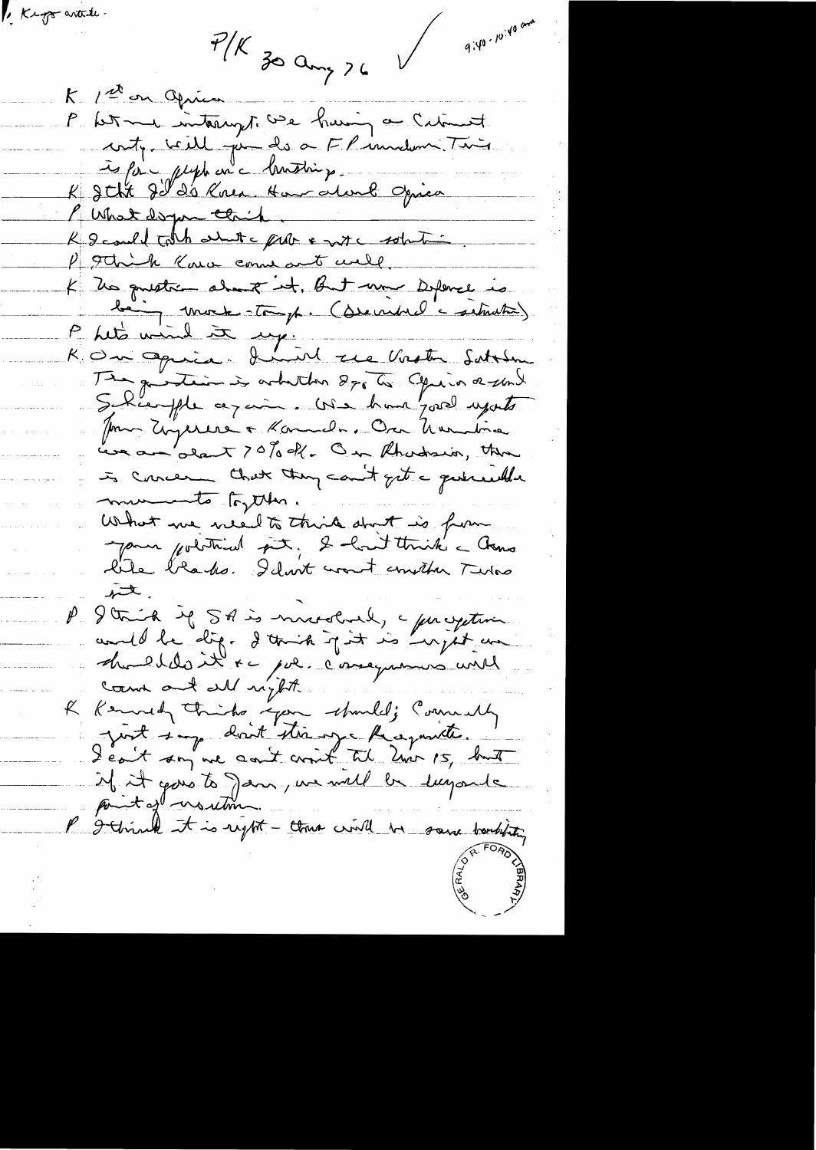$P/K$  zo any  $26$ 

E Keys antile.

 $9.40 \cdot 10^{140}$  and

K. 12° on Opius P het me interrupt we having a Citiment contre ville par des a FP inndemni. Tin is form plups on a brusting. K Jeht Je d'à Knen Ham alunk Opica Mer asymething K I could table about a prob & with solution P 9 think Kara commant well K Dis questien about it. But une Defence is la mort toup. (service situats) R. On Opice. Inive ree Vostre Sattlem The guintain is arbeiten 270 to Chris a und Jour Unjerere a Konnala. On Umulina Leve an alant ? O% off. On Rhadson, then is concern that they count get a quericule mumento toyther. What we weed to think don't is from lite blades. Idont want constan Terro تكسير I trick if SA is mnodered, a progetion houldoit ce pour consequences une count and all night. K Kennedy Thinks you should; Commenty just imp dont stir une Réceponite. if it goes to Jan, we will be sugarde P I think it is right - there will be some borbiting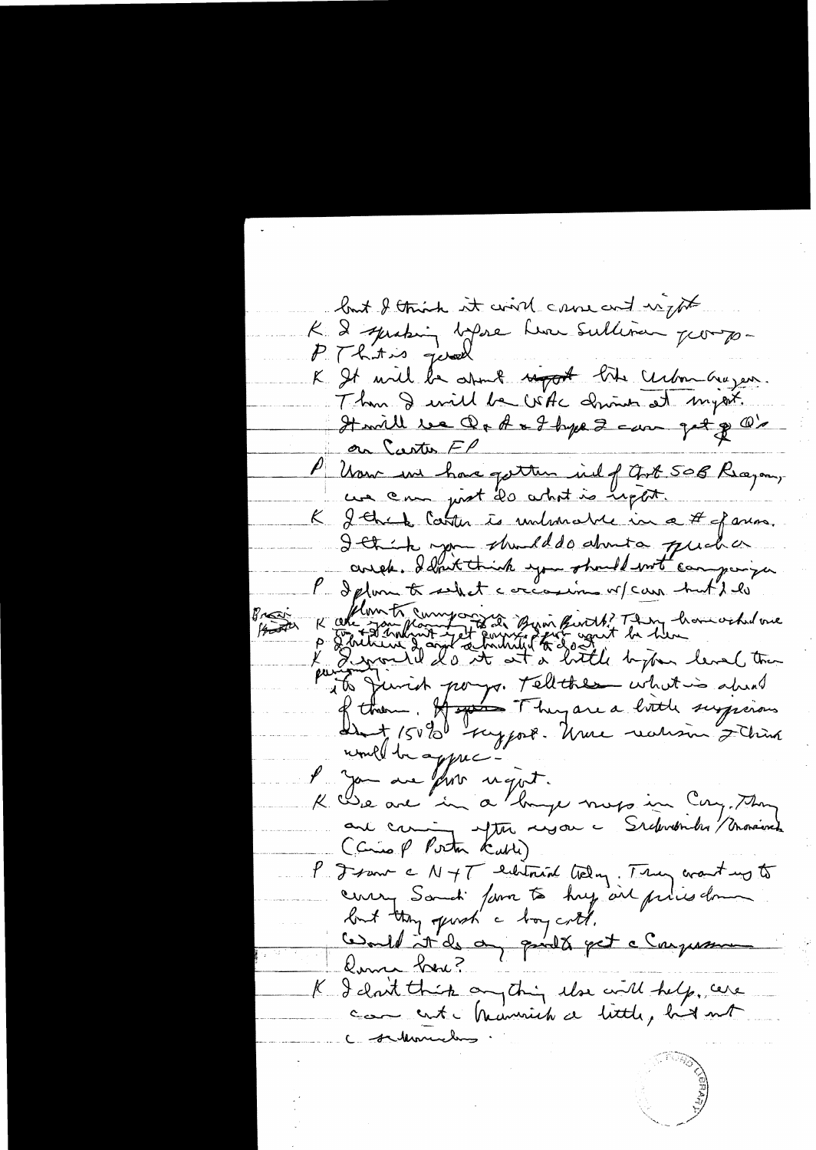but I think it wind came and unifor K 2 juilent bijne hui sullivan pour je P. Thitis good K It will be atout night like centre aujeur.<br>Than I will be Whe Driven at myerk. Hwill be Ord & I hype 2 can get of O's on Carter FP P Usen und have getten und of Got 508 Reagan, une om just 20 what is upon. K J that Catter is unhandre in a # of anna. Ittit son should do about a qual a R cele Bankout Let Environ Birth? They have ochidove Projection particulation pour tellathes what is about l'you are fort regist. K Die are in a linge mors in Cong. Though and commit after régar a P. Franc c N + T eichtrich (teloy: Truy crant up to coury Someti form to huy air prins down<br>but they good a boy cott.<br>Could at de a goodt get a Congression Koma her ? K I cloit this anything the will help, we C - salemnich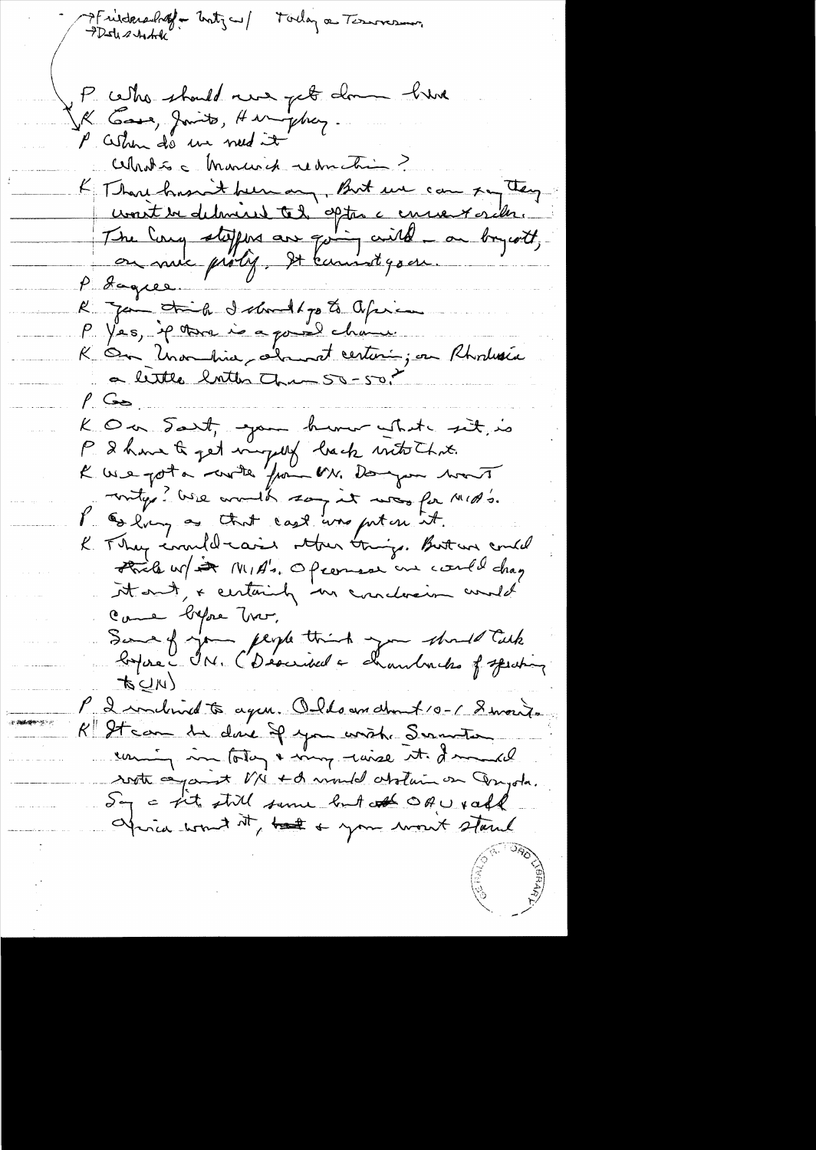->Friederacheff = Unity ~ / Today a Terroresmon P cette should never pet donne kine IK Gove, Jamits, Hunghuy. P Cestion de un need it Alhotse Monuei de Montre K Than housent been any, But we can say they unit en deleviers tes optes a encourantes. R Jan Jail debout parts Office K On Unambia, about certain, on Rhodesia a lettre lotter que 50-50.  $\frac{\rho}{\rho}$  (see K O a Sant, you human what sit, is P. I have to get vingely back with Chris. K we got a croite from M. Dongon want unty ? We would say it was for MID's. P Gelvery as that cast was puten it. K They invited caise strew things. But we could Fried w/ A MIA's. Opcomes one could drag it out, + certainly no conclusion would Came byfore Tro, Sure of you people think you should talk  $t \leq \mu$ P 2 inclined to agen. Olds and the f10-1 8 monts K Steam de donc If you write Serveter uniquin totay & my wise it I much soft aparent VN + A mould abolive on Dayota. Say a fit still some but of OAU raff africa won't it, but a your won't stand